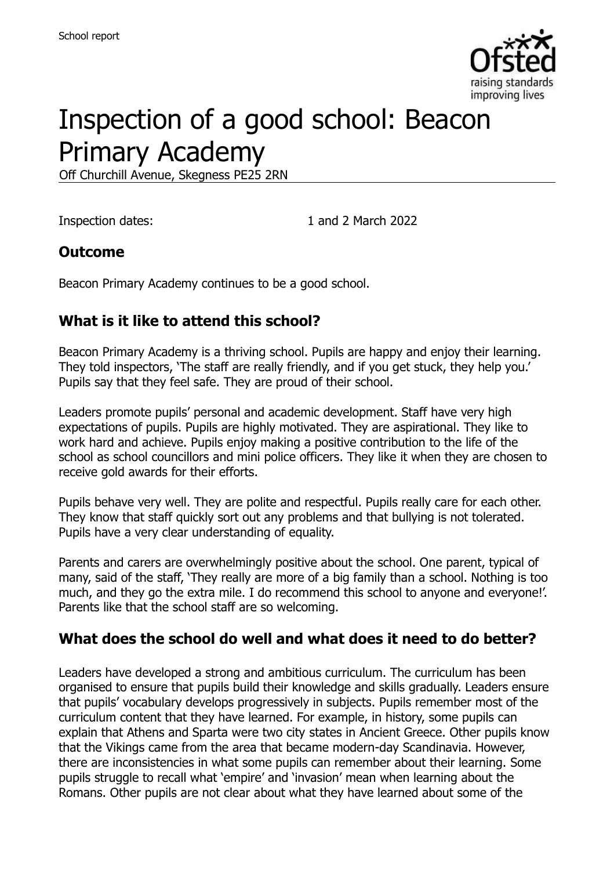

# Inspection of a good school: Beacon Primary Academy

Off Churchill Avenue, Skegness PE25 2RN

Inspection dates: 1 and 2 March 2022

#### **Outcome**

Beacon Primary Academy continues to be a good school.

#### **What is it like to attend this school?**

Beacon Primary Academy is a thriving school. Pupils are happy and enjoy their learning. They told inspectors, 'The staff are really friendly, and if you get stuck, they help you.' Pupils say that they feel safe. They are proud of their school.

Leaders promote pupils' personal and academic development. Staff have very high expectations of pupils. Pupils are highly motivated. They are aspirational. They like to work hard and achieve. Pupils enjoy making a positive contribution to the life of the school as school councillors and mini police officers. They like it when they are chosen to receive gold awards for their efforts.

Pupils behave very well. They are polite and respectful. Pupils really care for each other. They know that staff quickly sort out any problems and that bullying is not tolerated. Pupils have a very clear understanding of equality.

Parents and carers are overwhelmingly positive about the school. One parent, typical of many, said of the staff, 'They really are more of a big family than a school. Nothing is too much, and they go the extra mile. I do recommend this school to anyone and everyone!'. Parents like that the school staff are so welcoming.

#### **What does the school do well and what does it need to do better?**

Leaders have developed a strong and ambitious curriculum. The curriculum has been organised to ensure that pupils build their knowledge and skills gradually. Leaders ensure that pupils' vocabulary develops progressively in subjects. Pupils remember most of the curriculum content that they have learned. For example, in history, some pupils can explain that Athens and Sparta were two city states in Ancient Greece. Other pupils know that the Vikings came from the area that became modern-day Scandinavia. However, there are inconsistencies in what some pupils can remember about their learning. Some pupils struggle to recall what 'empire' and 'invasion' mean when learning about the Romans. Other pupils are not clear about what they have learned about some of the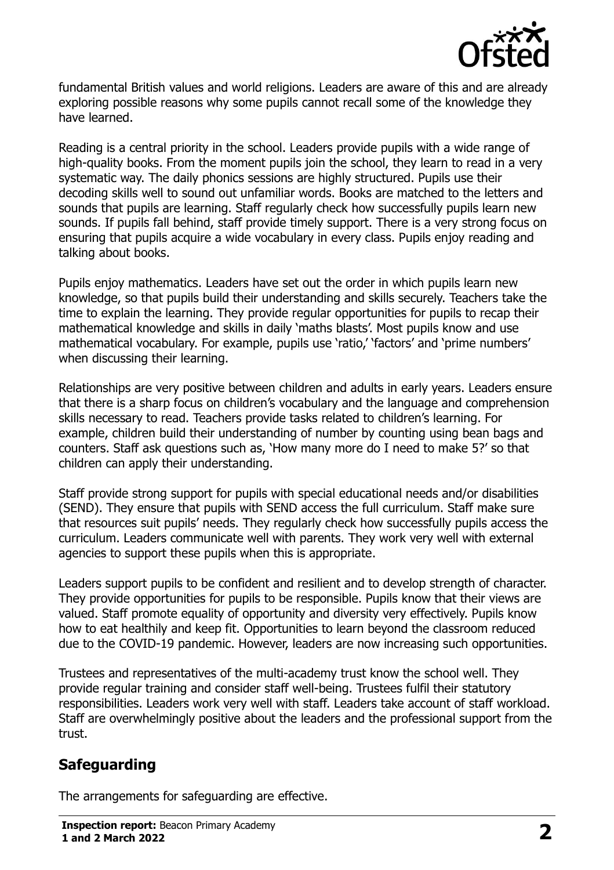

fundamental British values and world religions. Leaders are aware of this and are already exploring possible reasons why some pupils cannot recall some of the knowledge they have learned.

Reading is a central priority in the school. Leaders provide pupils with a wide range of high-quality books. From the moment pupils join the school, they learn to read in a very systematic way. The daily phonics sessions are highly structured. Pupils use their decoding skills well to sound out unfamiliar words. Books are matched to the letters and sounds that pupils are learning. Staff regularly check how successfully pupils learn new sounds. If pupils fall behind, staff provide timely support. There is a very strong focus on ensuring that pupils acquire a wide vocabulary in every class. Pupils enjoy reading and talking about books.

Pupils enjoy mathematics. Leaders have set out the order in which pupils learn new knowledge, so that pupils build their understanding and skills securely. Teachers take the time to explain the learning. They provide regular opportunities for pupils to recap their mathematical knowledge and skills in daily 'maths blasts'. Most pupils know and use mathematical vocabulary. For example, pupils use 'ratio,' 'factors' and 'prime numbers' when discussing their learning.

Relationships are very positive between children and adults in early years. Leaders ensure that there is a sharp focus on children's vocabulary and the language and comprehension skills necessary to read. Teachers provide tasks related to children's learning. For example, children build their understanding of number by counting using bean bags and counters. Staff ask questions such as, 'How many more do I need to make 5?' so that children can apply their understanding.

Staff provide strong support for pupils with special educational needs and/or disabilities (SEND). They ensure that pupils with SEND access the full curriculum. Staff make sure that resources suit pupils' needs. They regularly check how successfully pupils access the curriculum. Leaders communicate well with parents. They work very well with external agencies to support these pupils when this is appropriate.

Leaders support pupils to be confident and resilient and to develop strength of character. They provide opportunities for pupils to be responsible. Pupils know that their views are valued. Staff promote equality of opportunity and diversity very effectively. Pupils know how to eat healthily and keep fit. Opportunities to learn beyond the classroom reduced due to the COVID-19 pandemic. However, leaders are now increasing such opportunities.

Trustees and representatives of the multi-academy trust know the school well. They provide regular training and consider staff well-being. Trustees fulfil their statutory responsibilities. Leaders work very well with staff. Leaders take account of staff workload. Staff are overwhelmingly positive about the leaders and the professional support from the trust.

# **Safeguarding**

The arrangements for safeguarding are effective.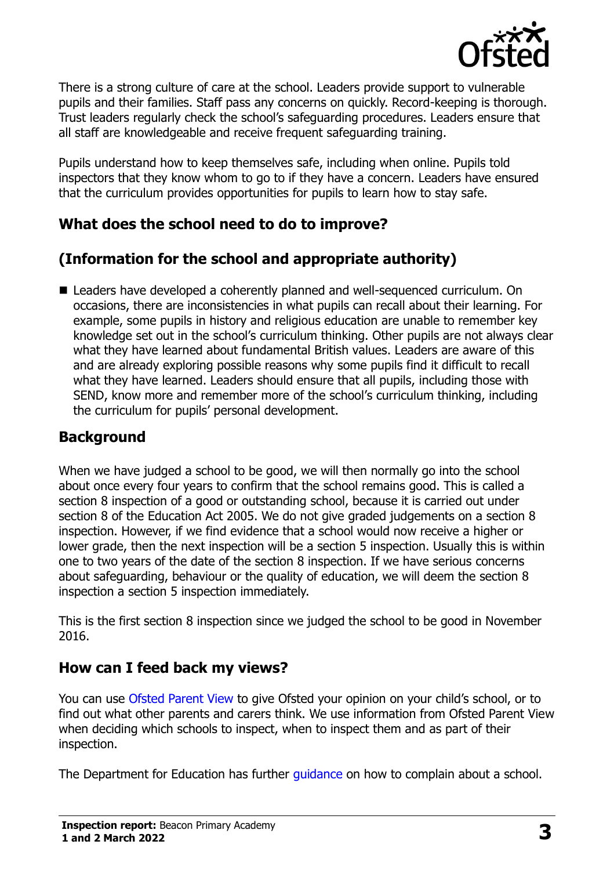

There is a strong culture of care at the school. Leaders provide support to vulnerable pupils and their families. Staff pass any concerns on quickly. Record-keeping is thorough. Trust leaders regularly check the school's safeguarding procedures. Leaders ensure that all staff are knowledgeable and receive frequent safeguarding training.

Pupils understand how to keep themselves safe, including when online. Pupils told inspectors that they know whom to go to if they have a concern. Leaders have ensured that the curriculum provides opportunities for pupils to learn how to stay safe.

# **What does the school need to do to improve?**

# **(Information for the school and appropriate authority)**

■ Leaders have developed a coherently planned and well-sequenced curriculum. On occasions, there are inconsistencies in what pupils can recall about their learning. For example, some pupils in history and religious education are unable to remember key knowledge set out in the school's curriculum thinking. Other pupils are not always clear what they have learned about fundamental British values. Leaders are aware of this and are already exploring possible reasons why some pupils find it difficult to recall what they have learned. Leaders should ensure that all pupils, including those with SEND, know more and remember more of the school's curriculum thinking, including the curriculum for pupils' personal development.

# **Background**

When we have judged a school to be good, we will then normally go into the school about once every four years to confirm that the school remains good. This is called a section 8 inspection of a good or outstanding school, because it is carried out under section 8 of the Education Act 2005. We do not give graded judgements on a section 8 inspection. However, if we find evidence that a school would now receive a higher or lower grade, then the next inspection will be a section 5 inspection. Usually this is within one to two years of the date of the section 8 inspection. If we have serious concerns about safeguarding, behaviour or the quality of education, we will deem the section 8 inspection a section 5 inspection immediately.

This is the first section 8 inspection since we judged the school to be good in November 2016.

# **How can I feed back my views?**

You can use [Ofsted Parent View](https://parentview.ofsted.gov.uk/) to give Ofsted your opinion on your child's school, or to find out what other parents and carers think. We use information from Ofsted Parent View when deciding which schools to inspect, when to inspect them and as part of their inspection.

The Department for Education has further quidance on how to complain about a school.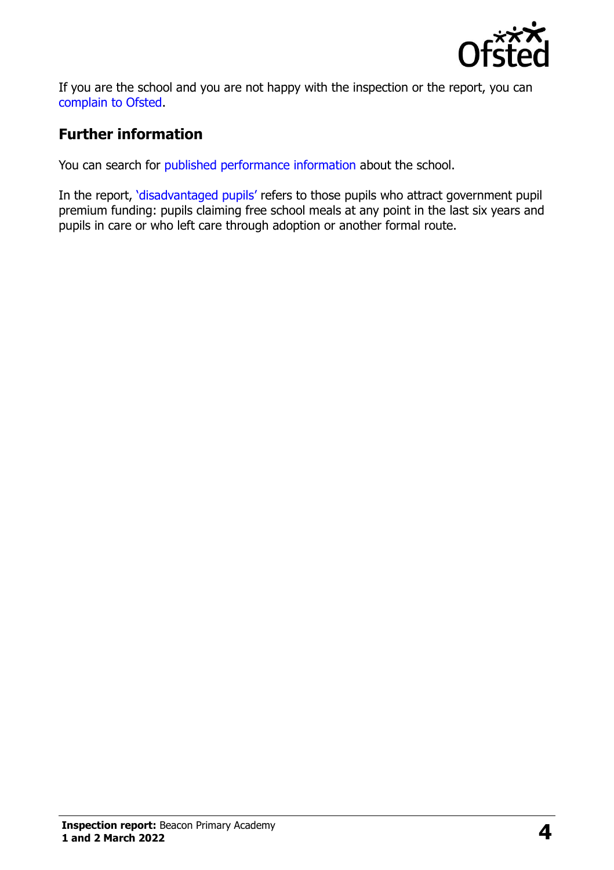

If you are the school and you are not happy with the inspection or the report, you can [complain to Ofsted.](https://www.gov.uk/complain-ofsted-report)

# **Further information**

You can search for [published performance information](http://www.compare-school-performance.service.gov.uk/) about the school.

In the report, '[disadvantaged pupils](http://www.gov.uk/guidance/pupil-premium-information-for-schools-and-alternative-provision-settings)' refers to those pupils who attract government pupil premium funding: pupils claiming free school meals at any point in the last six years and pupils in care or who left care through adoption or another formal route.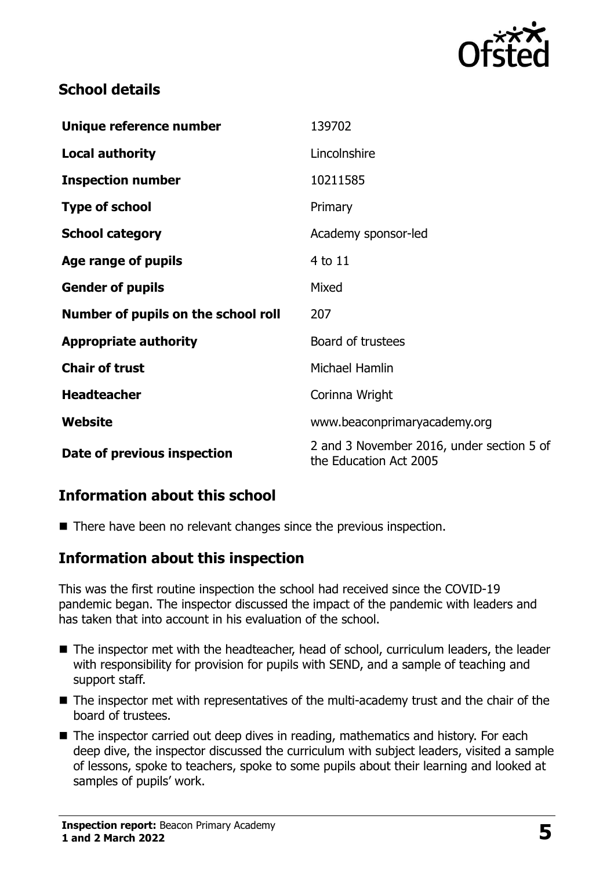

#### **School details**

| Unique reference number             | 139702                                                              |
|-------------------------------------|---------------------------------------------------------------------|
| <b>Local authority</b>              | Lincolnshire                                                        |
| <b>Inspection number</b>            | 10211585                                                            |
| <b>Type of school</b>               | Primary                                                             |
| <b>School category</b>              | Academy sponsor-led                                                 |
| Age range of pupils                 | 4 to 11                                                             |
| <b>Gender of pupils</b>             | Mixed                                                               |
| Number of pupils on the school roll | 207                                                                 |
| <b>Appropriate authority</b>        | Board of trustees                                                   |
| <b>Chair of trust</b>               | Michael Hamlin                                                      |
| <b>Headteacher</b>                  | Corinna Wright                                                      |
| Website                             | www.beaconprimaryacademy.org                                        |
| Date of previous inspection         | 2 and 3 November 2016, under section 5 of<br>the Education Act 2005 |

#### **Information about this school**

■ There have been no relevant changes since the previous inspection.

#### **Information about this inspection**

This was the first routine inspection the school had received since the COVID-19 pandemic began. The inspector discussed the impact of the pandemic with leaders and has taken that into account in his evaluation of the school.

- The inspector met with the headteacher, head of school, curriculum leaders, the leader with responsibility for provision for pupils with SEND, and a sample of teaching and support staff.
- The inspector met with representatives of the multi-academy trust and the chair of the board of trustees.
- The inspector carried out deep dives in reading, mathematics and history. For each deep dive, the inspector discussed the curriculum with subject leaders, visited a sample of lessons, spoke to teachers, spoke to some pupils about their learning and looked at samples of pupils' work.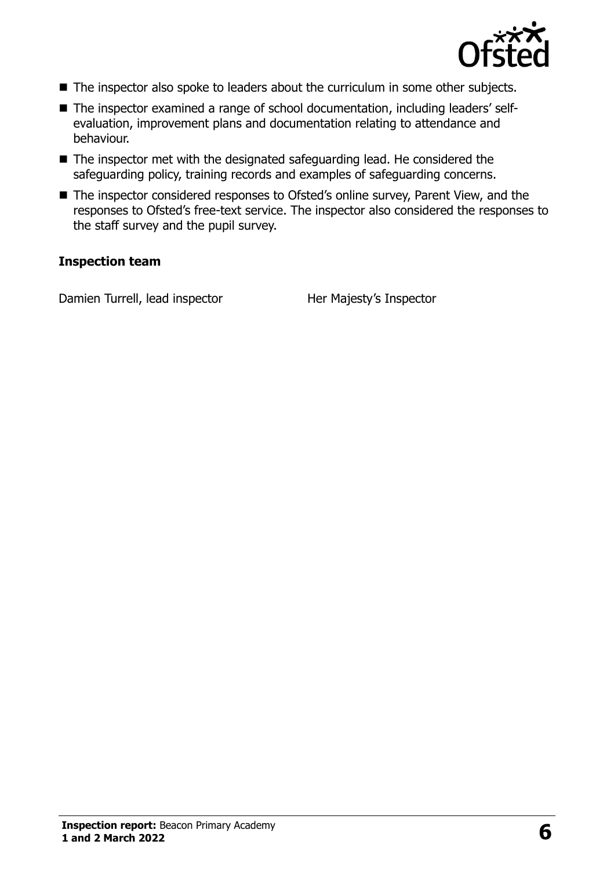

- The inspector also spoke to leaders about the curriculum in some other subjects.
- The inspector examined a range of school documentation, including leaders' selfevaluation, improvement plans and documentation relating to attendance and behaviour.
- The inspector met with the designated safeguarding lead. He considered the safeguarding policy, training records and examples of safeguarding concerns.
- The inspector considered responses to Ofsted's online survey, Parent View, and the responses to Ofsted's free-text service. The inspector also considered the responses to the staff survey and the pupil survey.

#### **Inspection team**

Damien Turrell, lead inspector Her Majesty's Inspector